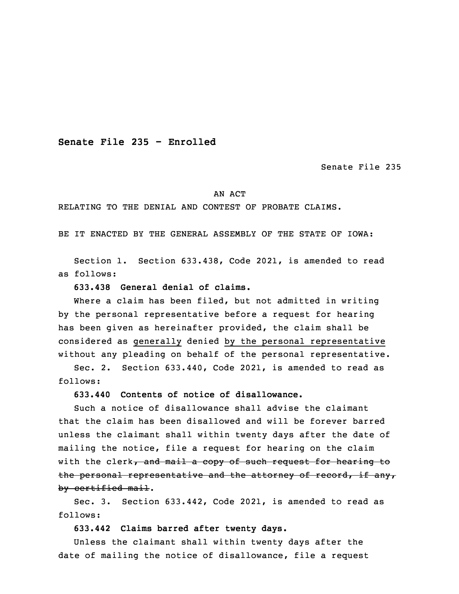**Senate File 235 - Enrolled**

Senate File 235

## AN ACT

## RELATING TO THE DENIAL AND CONTEST OF PROBATE CLAIMS.

BE IT ENACTED BY THE GENERAL ASSEMBLY OF THE STATE OF IOWA:

 Section 1. Section 633.438, Code 2021, is amended to read as follows:

3 **633.438 General denial of claims.**

 Where <sup>a</sup> claim has been filed, but not admitted in writing by the personal representative before a request for hearing has been given as hereinafter provided, the claim shall be considered as generally denied by the personal representative without any pleading on behalf of the personal representative.

Sec. 2. Section 633.440, Code 2021, is amended to read as follows:

**633.440 Contents of notice of disallowance.**

 Such <sup>a</sup> notice of disallowance shall advise the claimant that the claim has been disallowed and will be forever barred unless the claimant shall within twenty days after the date of mailing the notice, file a request for hearing on the claim with the clerk, and mail a copy of such request for hearing to the personal representative and the attorney of record, if any, by certified mail.

Sec. 3. Section 633.442, Code 2021, is amended to read as follows:

**633.442 Claims barred after twenty days.**

 Unless the claimant shall within twenty days after the date of mailing the notice of disallowance, file a request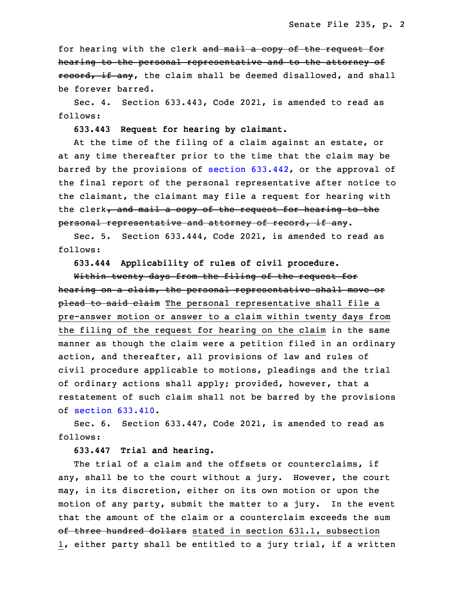for hearing with the clerk and mail a copy of the request for hearing to the personal representative and to the attorney of record, if any, the claim shall be deemed disallowed, and shall be forever barred.

Sec. 4. Section 633.443, Code 2021, is amended to read as follows:

30 **633.443 Request for hearing by claimant.**

At the time of the filing of a claim against an estate, or at any time thereafter prior to the time that the claim may be barred by the provisions of section  $633.442$ , or the approval of the final report of the personal representative after notice to the claimant, the claimant may file a request for hearing with the clerk, and mail a copy of the request for hearing to the personal representative and attorney of record, if any.

Sec. 5. Section 633.444, Code 2021, is amended to read as follows:

5 **633.444 Applicability of rules of civil procedure.**

Within twenty days from the filing of the request for hearing on a claim, the personal representative shall move or plead to said claim The personal representative shall file a pre-answer motion or answer to a claim within twenty days from the filing of the request for hearing on the claim in the same manner as though the claim were <sup>a</sup> petition filed in an ordinary action, and thereafter, all provisions of law and rules of civil procedure applicable to motions, pleadings and the trial of ordinary actions shall apply; provided, however, that <sup>a</sup> restatement of such claim shall not be barred by the provisions  $of section 633.410.$  $of section 633.410.$  $of section 633.410.$ 

Sec. 6. Section 633.447, Code 2021, is amended to read as follows:

## 19 **633.447 Trial and hearing.**

The trial of a claim and the offsets or counterclaims, if any, shall be to the court without <sup>a</sup> jury. However, the court may, in its discretion, either on its own motion or upon the motion of any party, submit the matter to a jury. In the event that the amount of the claim or <sup>a</sup> counterclaim exceeds the sum of three hundred dollars stated in section 631.1, subsection 1, either party shall be entitled to a jury trial, if a written